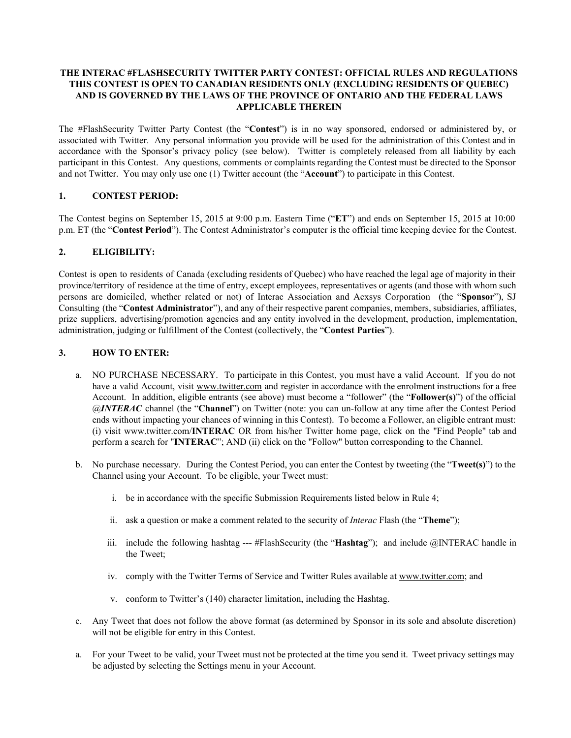## **THE INTERAC #FLASHSECURITY TWITTER PARTY CONTEST: OFFICIAL RULES AND REGULATIONS THIS CONTEST IS OPEN TO CANADIAN RESIDENTS ONLY (EXCLUDING RESIDENTS OF QUEBEC) AND IS GOVERNED BY THE LAWS OF THE PROVINCE OF ONTARIO AND THE FEDERAL LAWS APPLICABLE THEREIN**

The #FlashSecurity Twitter Party Contest (the "**Contest**") is in no way sponsored, endorsed or administered by, or associated with Twitter. Any personal information you provide will be used for the administration of this Contest and in accordance with the Sponsor's privacy policy (see below). Twitter is completely released from all liability by each participant in this Contest. Any questions, comments or complaints regarding the Contest must be directed to the Sponsor and not Twitter. You may only use one (1) Twitter account (the "**Account**") to participate in this Contest.

## **1. CONTEST PERIOD:**

The Contest begins on September 15, 2015 at 9:00 p.m. Eastern Time ("**ET**") and ends on September 15, 2015 at 10:00 p.m. ET (the "**Contest Period**"). The Contest Administrator's computer is the official time keeping device for the Contest.

### **2. ELIGIBILITY:**

Contest is open to residents of Canada (excluding residents of Quebec) who have reached the legal age of majority in their province/territory of residence at the time of entry, except employees, representatives or agents (and those with whom such persons are domiciled, whether related or not) of Interac Association and Acxsys Corporation (the "**Sponsor**"), SJ Consulting (the "**Contest Administrator**"), and any of their respective parent companies, members, subsidiaries, affiliates, prize suppliers, advertising/promotion agencies and any entity involved in the development, production, implementation, administration, judging or fulfillment of the Contest (collectively, the "**Contest Parties**").

## **3. HOW TO ENTER:**

- a. NO PURCHASE NECESSARY. To participate in this Contest, you must have a valid Account. If you do not have a valid Account, visit [www.twitter.com](http://www.twitter.com/) and register in accordance with the enrolment instructions for a free Account. In addition, eligible entrants (see above) must become a "follower" (the "**Follower(s)**") of the official *@INTERAC* channel (the "**Channel**") on Twitter (note: you can unfollow at any time after the Contest Period ends without impacting your chances of winning in this Contest). To become a Follower, an eligible entrant must: (i) visit www.twitter.com/**INTERAC** OR from his/her Twitter home page, click on the "Find People" tab and perform a search for "**INTERAC**"; AND (ii) click on the "Follow" button corresponding to the Channel.
- b. No purchase necessary. During the Contest Period, you can enter the Contest by tweeting (the "**Tweet(s)**") to the Channel using your Account. To be eligible, your Tweet must:
	- i. be in accordance with the specific Submission Requirements listed below in Rule 4;
	- ii. ask a question or make a comment related to the security of *Interac* Flash (the "**Theme**");
	- iii. include the following hashtag  $---$  #FlashSecurity (the "**Hashtag**"); and include  $@$ INTERAC handle in the Tweet;
	- iv. comply with the Twitter Terms of Service and Twitter Rules available at [www.twitter.com;](http://www.twitter.com/) and
	- v. conform to Twitter's (140) character limitation, including the Hashtag.
- c. Any Tweet that does not follow the above format (as determined by Sponsor in its sole and absolute discretion) will not be eligible for entry in this Contest.
- a. For your Tweet to be valid, your Tweet must not be protected at the time you send it. Tweet privacy settings may be adjusted by selecting the Settings menu in your Account.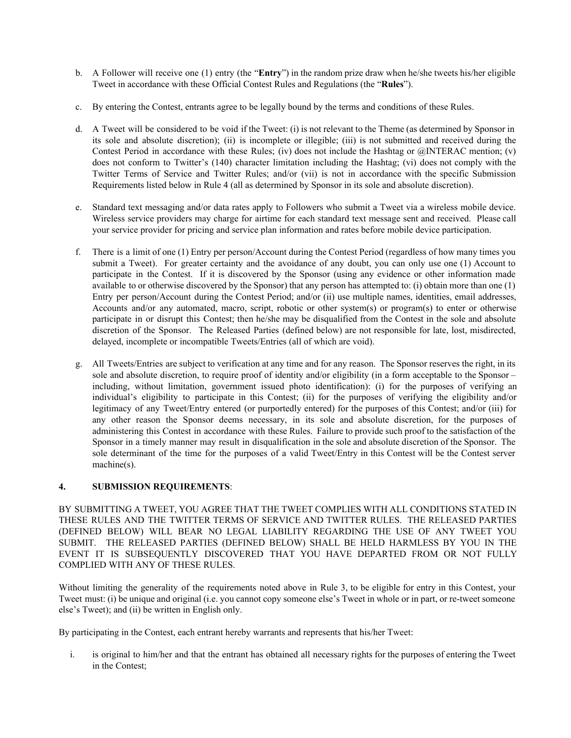- b. A Follower will receive one (1) entry (the "**Entry**") in the random prize draw when he/she tweets his/her eligible Tweet in accordance with these Official Contest Rules and Regulations (the "**Rules**").
- c. By entering the Contest, entrants agree to be legally bound by the terms and conditions of these Rules.
- d. A Tweet will be considered to be void if the Tweet: (i) is not relevant to the Theme (as determined by Sponsor in its sole and absolute discretion); (ii) is incomplete or illegible; (iii) is not submitted and received during the Contest Period in accordance with these Rules; (iv) does not include the Hashtag or @INTERAC mention; (v) does not conform to Twitter's (140) character limitation including the Hashtag; (vi) does not comply with the Twitter Terms of Service and Twitter Rules; and/or (vii) is not in accordance with the specific Submission Requirements listed below in Rule 4 (all as determined by Sponsor in its sole and absolute discretion).
- e. Standard text messaging and/or data rates apply to Followers who submit a Tweet via a wireless mobile device. Wireless service providers may charge for airtime for each standard text message sent and received. Please call your service provider for pricing and service plan information and rates before mobile device participation.
- f. There is a limit of one (1) Entry per person/Account during the Contest Period (regardless of how many times you submit a Tweet). For greater certainty and the avoidance of any doubt, you can only use one (1) Account to participate in the Contest. If it is discovered by the Sponsor (using any evidence or other information made available to or otherwise discovered by the Sponsor) that any person has attempted to: (i) obtain more than one (1) Entry per person/Account during the Contest Period; and/or (ii) use multiple names, identities, email addresses, Accounts and/or any automated, macro, script, robotic or other system(s) or program(s) to enter or otherwise participate in or disrupt this Contest; then he/she may be disqualified from the Contest in the sole and absolute discretion of the Sponsor. The Released Parties (defined below) are not responsible for late, lost, misdirected, delayed, incomplete or incompatible Tweets/Entries (all of which are void).
- g. All Tweets/Entries are subject to verification at any time and for any reason. The Sponsor reserves the right, in its sole and absolute discretion, to require proof of identity and/or eligibility (in a form acceptable to the Sponsor – including, without limitation, government issued photo identification): (i) for the purposes of verifying an individual's eligibility to participate in this Contest; (ii) for the purposes of verifying the eligibility and/or legitimacy of any Tweet/Entry entered (or purportedly entered) for the purposes of this Contest; and/or (iii) for any other reason the Sponsor deems necessary, in its sole and absolute discretion, for the purposes of administering this Contest in accordance with these Rules. Failure to provide such proof to the satisfaction of the Sponsor in a timely manner may result in disqualification in the sole and absolute discretion of the Sponsor. The sole determinant of the time for the purposes of a valid Tweet/Entry in this Contest will be the Contest server machine(s).

# **4. SUBMISSION REQUIREMENTS**:

BY SUBMITTING A TWEET, YOU AGREE THAT THE TWEET COMPLIES WITH ALL CONDITIONS STATED IN THESE RULES AND THE TWITTER TERMS OF SERVICE AND TWITTER RULES. THE RELEASED PARTIES (DEFINED BELOW) WILL BEAR NO LEGAL LIABILITY REGARDING THE USE OF ANY TWEET YOU SUBMIT. THE RELEASED PARTIES (DEFINED BELOW) SHALL BE HELD HARMLESS BY YOU IN THE EVENT IT IS SUBSEQUENTLY DISCOVERED THAT YOU HAVE DEPARTED FROM OR NOT FULLY COMPLIED WITH ANY OF THESE RULES.

Without limiting the generality of the requirements noted above in Rule 3, to be eligible for entry in this Contest, your Tweet must: (i) be unique and original (i.e. you cannot copy someone else's Tweet in whole or in part, or re-tweet someone else's Tweet); and (ii) be written in English only.

By participating in the Contest, each entrant hereby warrants and represents that his/her Tweet:

i. is original to him/her and that the entrant has obtained all necessary rights for the purposes of entering the Tweet in the Contest;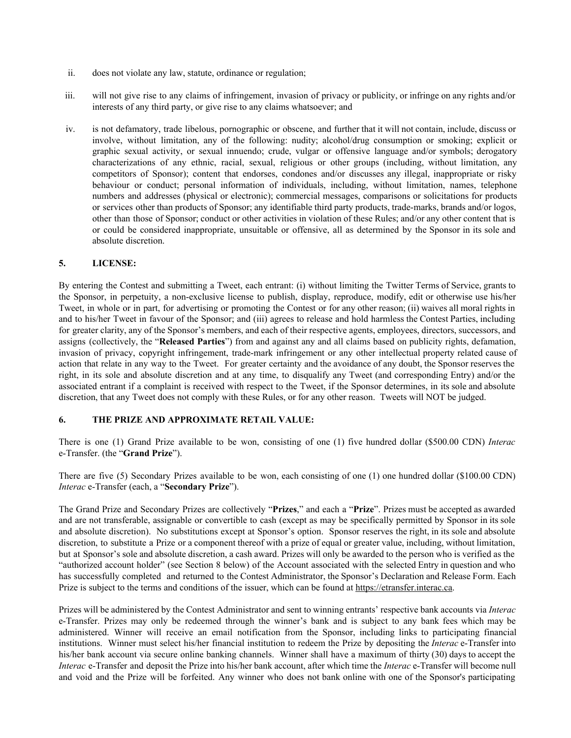- ii. does not violate any law, statute, ordinance or regulation;
- iii. will not give rise to any claims of infringement, invasion of privacy or publicity, or infringe on any rights and/or interests of any third party, or give rise to any claims whatsoever; and
- iv. is not defamatory, trade libelous, pornographic or obscene, and further that it will not contain, include, discuss or involve, without limitation, any of the following: nudity; alcohol/drug consumption or smoking; explicit or graphic sexual activity, or sexual innuendo; crude, vulgar or offensive language and/or symbols; derogatory characterizations of any ethnic, racial, sexual, religious or other groups (including, without limitation, any competitors of Sponsor); content that endorses, condones and/or discusses any illegal, inappropriate or risky behaviour or conduct; personal information of individuals, including, without limitation, names, telephone numbers and addresses (physical or electronic); commercial messages, comparisons or solicitations for products or services other than products of Sponsor; any identifiable third party products, trademarks, brands and/or logos, other than those of Sponsor; conduct or other activities in violation of these Rules; and/or any other content that is or could be considered inappropriate, unsuitable or offensive, all as determined by the Sponsor in its sole and absolute discretion.

### **5. LICENSE:**

By entering the Contest and submitting a Tweet, each entrant: (i) without limiting the Twitter Terms of Service, grants to the Sponsor, in perpetuity, a non-exclusive license to publish, display, reproduce, modify, edit or otherwise use his/her Tweet, in whole or in part, for advertising or promoting the Contest or for any other reason; (ii) waives all moral rights in and to his/her Tweet in favour of the Sponsor; and (iii) agrees to release and hold harmless the Contest Parties, including for greater clarity, any of the Sponsor's members, and each of their respective agents, employees, directors, successors, and assigns (collectively, the "**Released Parties**") from and against any and all claims based on publicity rights, defamation, invasion of privacy, copyright infringement, trade-mark infringement or any other intellectual property related cause of action that relate in any way to the Tweet. For greater certainty and the avoidance of any doubt, the Sponsor reserves the right, in its sole and absolute discretion and at any time, to disqualify any Tweet (and corresponding Entry) and/or the associated entrant if a complaint is received with respect to the Tweet, if the Sponsor determines, in its sole and absolute discretion, that any Tweet does not comply with these Rules, or for any other reason. Tweets will NOT be judged.

### **6. THE PRIZE AND APPROXIMATE RETAIL VALUE:**

There is one (1) Grand Prize available to be won, consisting of one (1) five hundred dollar (\$500.00 CDN) *Interac* eTransfer. (the "**Grand Prize**").

There are five (5) Secondary Prizes available to be won, each consisting of one (1) one hundred dollar (\$100.00 CDN) *Interac* e-Transfer (each, a "Secondary Prize").

The Grand Prize and Secondary Prizes are collectively "**Prizes**," and each a "**Prize**". Prizes must be accepted as awarded and are not transferable, assignable or convertible to cash (except as may be specifically permitted by Sponsor in its sole and absolute discretion). No substitutions except at Sponsor's option. Sponsor reserves the right, in its sole and absolute discretion, to substitute a Prize or a component thereof with a prize of equal or greater value, including, without limitation, but at Sponsor's sole and absolute discretion, a cash award. Prizes will only be awarded to the person who is verified as the "authorized account holder" (see Section 8 below) of the Account associated with the selected Entry in question and who has successfully completed and returned to the Contest Administrator, the Sponsor's Declaration and Release Form. Each Prize is subject to the terms and conditions of the issuer, which can be found at [https://etransfer.interac.ca](https://etransfer.interac.ca/).

Prizes will be administered by the Contest Administrator and sent to winning entrants' respective bank accounts via *Interac* eTransfer. Prizes may only be redeemed through the winner's bank and is subject to any bank fees which may be administered. Winner will receive an email notification from the Sponsor, including links to participating financial institutions. Winner must select his/her financial institution to redeem the Prize by depositing the *Interac* e-Transfer into his/her bank account via secure online banking channels. Winner shall have a maximum of thirty (30) days to accept the *Interac* e-Transfer and deposit the Prize into his/her bank account, after which time the *Interac* e-Transfer will become null and void and the Prize will be forfeited. Any winner who does not bank online with one of the Sponsor's participating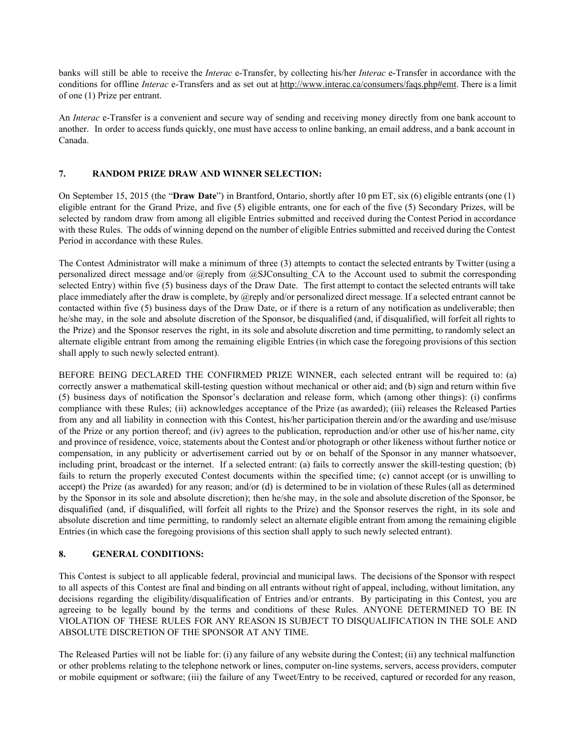banks will still be able to receive the *Interac* e-Transfer, by collecting his/her *Interac* e-Transfer in accordance with the conditions for offline *Interac* e-Transfers and as set out at [http://www.interac.ca/consumers/faqs.php#emt.](http://www.interac.ca/consumers/faqs.php#emt) There is a limit of one (1) Prize per entrant.

An *Interac* e-Transfer is a convenient and secure way of sending and receiving money directly from one bank account to another. In order to access funds quickly, one must have access to online banking, an email address, and a bank account in Canada.

## **7. RANDOM PRIZE DRAW AND WINNER SELECTION:**

On September 15, 2015 (the "**Draw Date**") in Brantford, Ontario, shortly after 10 pm ET, six (6) eligible entrants (one (1) eligible entrant for the Grand Prize, and five (5) eligible entrants, one for each of the five (5) Secondary Prizes, will be selected by random draw from among all eligible Entries submitted and received during the Contest Period in accordance with these Rules. The odds of winning depend on the number of eligible Entries submitted and received during the Contest Period in accordance with these Rules.

The Contest Administrator will make a minimum of three (3) attempts to contact the selected entrants by Twitter (using a personalized direct message and/or @reply from @SJConsulting\_CA to the Account used to submit the corresponding selected Entry) within five (5) business days of the Draw Date. The first attempt to contact the selected entrants will take place immediately after the draw is complete, by @reply and/or personalized direct message. If a selected entrant cannot be contacted within five (5) business days of the Draw Date, or if there is a return of any notification as undeliverable; then he/she may, in the sole and absolute discretion of the Sponsor, be disqualified (and, if disqualified, will forfeit all rights to the Prize) and the Sponsor reserves the right, in its sole and absolute discretion and time permitting, to randomly select an alternate eligible entrant from among the remaining eligible Entries (in which case the foregoing provisions of this section shall apply to such newly selected entrant).

BEFORE BEING DECLARED THE CONFIRMED PRIZE WINNER, each selected entrant will be required to: (a) correctly answer a mathematical skill-testing question without mechanical or other aid; and (b) sign and return within five (5) business days of notification the Sponsor's declaration and release form, which (among other things): (i) confirms compliance with these Rules; (ii) acknowledges acceptance of the Prize (as awarded); (iii) releases the Released Parties from any and all liability in connection with this Contest, his/her participation therein and/or the awarding and use/misuse of the Prize or any portion thereof; and (iv) agrees to the publication, reproduction and/or other use of his/her name, city and province of residence, voice, statements about the Contest and/or photograph or other likeness without further notice or compensation, in any publicity or advertisement carried out by or on behalf of the Sponsor in any manner whatsoever, including print, broadcast or the internet. If a selected entrant: (a) fails to correctly answer the skill-testing question; (b) fails to return the properly executed Contest documents within the specified time; (c) cannot accept (or is unwilling to accept) the Prize (as awarded) for any reason; and/or (d) is determined to be in violation of these Rules (all as determined by the Sponsor in its sole and absolute discretion); then he/she may, in the sole and absolute discretion of the Sponsor, be disqualified (and, if disqualified, will forfeit all rights to the Prize) and the Sponsor reserves the right, in its sole and absolute discretion and time permitting, to randomly select an alternate eligible entrant from among the remaining eligible Entries (in which case the foregoing provisions of this section shall apply to such newly selected entrant).

# **8. GENERAL CONDITIONS:**

This Contest is subject to all applicable federal, provincial and municipal laws. The decisions of the Sponsor with respect to all aspects of this Contest are final and binding on all entrants without right of appeal, including, without limitation, any decisions regarding the eligibility/disqualification of Entries and/or entrants. By participating in this Contest, you are agreeing to be legally bound by the terms and conditions of these Rules. ANYONE DETERMINED TO BE IN VIOLATION OF THESE RULES FOR ANY REASON IS SUBJECT TO DISQUALIFICATION IN THE SOLE AND ABSOLUTE DISCRETION OF THE SPONSOR AT ANY TIME.

The Released Parties will not be liable for: (i) any failure of any website during the Contest; (ii) any technical malfunction or other problems relating to the telephone network or lines, computer on-line systems, servers, access providers, computer or mobile equipment or software; (iii) the failure of any Tweet/Entry to be received, captured or recorded for any reason,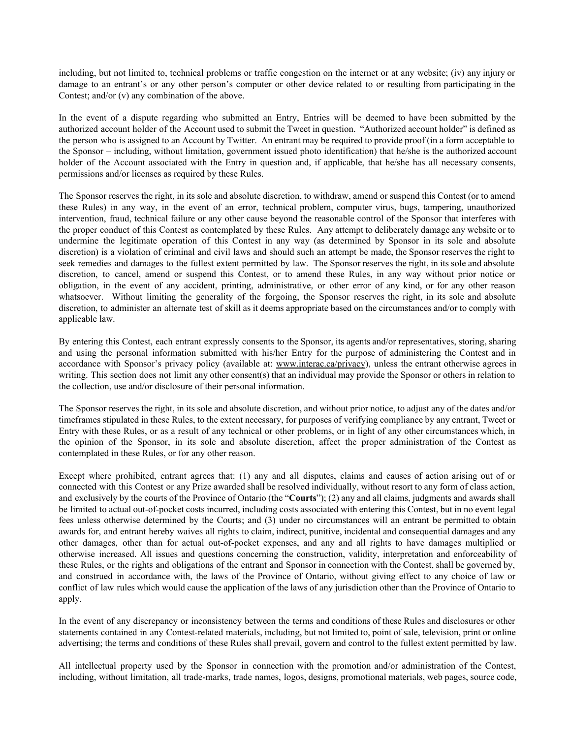including, but not limited to, technical problems or traffic congestion on the internet or at any website; (iv) any injury or damage to an entrant's or any other person's computer or other device related to or resulting from participating in the Contest; and/or (v) any combination of the above.

In the event of a dispute regarding who submitted an Entry, Entries will be deemed to have been submitted by the authorized account holder of the Account used to submit the Tweet in question. "Authorized account holder" is defined as the person who is assigned to an Account by Twitter. An entrant may be required to provide proof (in a form acceptable to the Sponsor – including, without limitation, government issued photo identification) that he/she is the authorized account holder of the Account associated with the Entry in question and, if applicable, that he/she has all necessary consents, permissions and/or licenses as required by these Rules.

The Sponsor reserves the right, in its sole and absolute discretion, to withdraw, amend or suspend this Contest (or to amend these Rules) in any way, in the event of an error, technical problem, computer virus, bugs, tampering, unauthorized intervention, fraud, technical failure or any other cause beyond the reasonable control of the Sponsor that interferes with the proper conduct of this Contest as contemplated by these Rules. Any attempt to deliberately damage any website or to undermine the legitimate operation of this Contest in any way (as determined by Sponsor in its sole and absolute discretion) is a violation of criminal and civil laws and should such an attempt be made, the Sponsor reserves the right to seek remedies and damages to the fullest extent permitted by law. The Sponsor reserves the right, in its sole and absolute discretion, to cancel, amend or suspend this Contest, or to amend these Rules, in any way without prior notice or obligation, in the event of any accident, printing, administrative, or other error of any kind, or for any other reason whatsoever. Without limiting the generality of the forgoing, the Sponsor reserves the right, in its sole and absolute discretion, to administer an alternate test of skill as it deems appropriate based on the circumstances and/or to comply with applicable law.

By entering this Contest, each entrant expressly consents to the Sponsor, its agents and/or representatives, storing, sharing and using the personal information submitted with his/her Entry for the purpose of administering the Contest and in accordance with Sponsor's privacy policy (available at: [www.interac.ca/privacy\)](http://www.interac.ca/privacy), unless the entrant otherwise agrees in writing. This section does not limit any other consent(s) that an individual may provide the Sponsor or others in relation to the collection, use and/or disclosure of their personal information.

The Sponsor reserves the right, in its sole and absolute discretion, and without prior notice, to adjust any of the dates and/or timeframes stipulated in these Rules, to the extent necessary, for purposes of verifying compliance by any entrant, Tweet or Entry with these Rules, or as a result of any technical or other problems, or in light of any other circumstances which, in the opinion of the Sponsor, in its sole and absolute discretion, affect the proper administration of the Contest as contemplated in these Rules, or for any other reason.

Except where prohibited, entrant agrees that: (1) any and all disputes, claims and causes of action arising out of or connected with this Contest or any Prize awarded shall be resolved individually, without resort to any form of class action, and exclusively by the courts of the Province of Ontario (the "**Courts**"); (2) any and all claims, judgments and awards shall be limited to actual out-of-pocket costs incurred, including costs associated with entering this Contest, but in no event legal fees unless otherwise determined by the Courts; and (3) under no circumstances will an entrant be permitted to obtain awards for, and entrant hereby waives all rights to claim, indirect, punitive, incidental and consequential damages and any other damages, other than for actual out-of-pocket expenses, and any and all rights to have damages multiplied or otherwise increased. All issues and questions concerning the construction, validity, interpretation and enforceability of these Rules, or the rights and obligations of the entrant and Sponsor in connection with the Contest, shall be governed by, and construed in accordance with, the laws of the Province of Ontario, without giving effect to any choice of law or conflict of law rules which would cause the application of the laws of any jurisdiction other than the Province of Ontario to apply.

In the event of any discrepancy or inconsistency between the terms and conditions of these Rules and disclosures or other statements contained in any Contest-related materials, including, but not limited to, point of sale, television, print or online advertising; the terms and conditions of these Rules shall prevail, govern and control to the fullest extent permitted by law.

All intellectual property used by the Sponsor in connection with the promotion and/or administration of the Contest, including, without limitation, all trade-marks, trade names, logos, designs, promotional materials, web pages, source code,